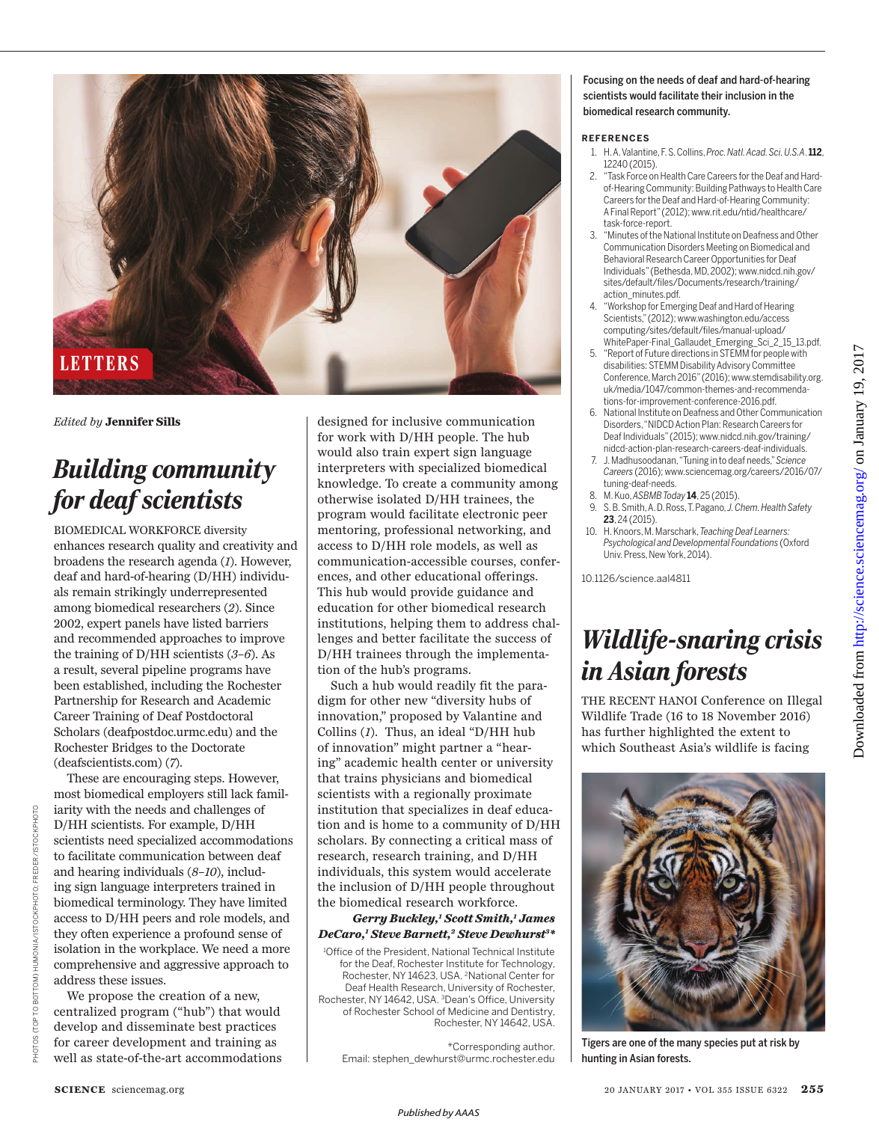

*Edited by* **Jennifer Sills**

## *Building community for deaf scientists*

BIOMEDICAL WORKFORCE diversity enhances research quality and creativity and broadens the research agenda (*1*). However, deaf and hard-of-hearing (D/HH) individuals remain strikingly underrepresented among biomedical researchers (*2*). Since 2002, expert panels have listed barriers and recommended approaches to improve the training of D/HH scientists (*3*–*6*). As a result, several pipeline programs have been established, including the Rochester Partnership for Research and Academic Career Training of Deaf Postdoctoral Scholars (deafpostdoc.urmc.edu) and the Rochester Bridges to the Doctorate (deafscientists.com) (*7*).

These are encouraging steps. However, most biomedical employers still lack familiarity with the needs and challenges of D/HH scientists. For example, D/HH scientists need specialized accommodations to facilitate communication between deaf and hearing individuals (*8*–*10*), including sign language interpreters trained in biomedical terminology. They have limited access to D/HH peers and role models, and they often experience a profound sense of isolation in the workplace. We need a more comprehensive and aggressive approach to address these issues.

We propose the creation of a new, centralized program ("hub") that would develop and disseminate best practices for career development and training as well as state-of-the-art accommodations

designed for inclusive communication for work with D/HH people. The hub would also train expert sign language interpreters with specialized biomedical knowledge. To create a community among otherwise isolated D/HH trainees, the program would facilitate electronic peer mentoring, professional networking, and access to D/HH role models, as well as communication-accessible courses, conferences, and other educational offerings. This hub would provide guidance and education for other biomedical research institutions, helping them to address challenges and better facilitate the success of D/HH trainees through the implementation of the hub's programs.

Such a hub would readily fit the paradigm for other new "diversity hubs of innovation," proposed by Valantine and Collins (*1*). Thus, an ideal "D/HH hub of innovation" might partner a "hearing" academic health center or university that trains physicians and biomedical scientists with a regionally proximate institution that specializes in deaf education and is home to a community of D/HH scholars. By connecting a critical mass of research, research training, and D/HH individuals, this system would accelerate the inclusion of D/HH people throughout the biomedical research workforce.

#### *Gerry Buckley,<sup>1</sup> Scott Smith,<sup>1</sup> James DeCaro,<sup>1</sup> Steve Barnett,<sup>2</sup> Steve Dewhurst<sup>3</sup> \**

<sup>1</sup>Office of the President, National Technical Institute for the Deaf, Rochester Institute for Technology, Rochester, NY 14623, USA. <sup>2</sup>National Center for Deaf Health Research, University of Rochester, Rochester, NY 14642, USA. <sup>3</sup>Dean's Office, University of Rochester School of Medicine and Dentistry, Rochester, NY 14642, USA.

\*Corresponding author. Email: stephen\_dewhurst@urmc.rochester.edu

### Focusing on the needs of deaf and hard-of-hearing scientists would facilitate their inclusion in the biomedical research community.

### **REFERENCES**

- 1. H. A. Valantine, F. S. Collins, *Proc. Natl. Acad. Sci. U.S.A*. **112**, 12240 (2015).
- 2. "Task Force on Health Care Careers for the Deaf and Hardof-Hearing Community: Building Pathways to Health Care Careers for the Deaf and Hard-of-Hearing Community: A Final Report" (2012); www.rit.edu/ntid/healthcare/ task-force-report.
- 3. "Minutes of the National Institute on Deafness and Other Communication Disorders Meeting on Biomedical and Behavioral Research Career Opportunities for Deaf Individuals" (Bethesda, MD, 2002); www.nidcd.nih.gov/ sites/default/files/Documents/research/training/ action\_minutes.pdf.
- "Workshop for Emerging Deaf and Hard of Hearing Scientists," (2012); www.washington.edu/access computing/sites/default/files/manual-upload/
- WhitePaper-Final\_Gallaudet\_Emerging\_Sci\_2\_15\_13.pdf. 5. "Report of Future directions in STEMM for people with disabilities: STEMM Disability Advisory Committee Conference, March 2016" (2016); www.stemdisability.org. uk/media/1047/common-themes-and-recommendations-for-improvement-conference-2016.pdf.
- 6. National Institute on Deafness and Other Communication Disorders, "NIDCD Action Plan: Research Careers for Deaf Individuals" (2015); www.nidcd.nih.gov/training/ nidcd-action-plan-research-careers-deaf-individuals.
- 7. J. Madhusoodanan, "Tuning in to deaf needs," *Science Careers* (2016); www.sciencemag.org/careers/2016/07/ tuning-deaf-needs.
- 8. M. Kuo, *ASBMB Today* **14**, 25 (2015).
- 9. S. B. Smith, A. D. Ross, T. Pagano, *J. Chem. Health Safety* **23**, 24 (2015).
- 10. H. Knoors, M. Marschark, *Teaching Deaf Learners: Psychological and Developmental Foundations* (Oxford Univ. Press, New York, 2014).

10.1126/science.aal4811

# *Wildlife-snaring crisis in Asian forests*

THE RECENT HANOI Conference on Illegal Wildlife Trade (16 to 18 November 2016) has further highlighted the extent to which Southeast Asia's wildlife is facing



Tigers are one of the many species put at risk by hunting in Asian forests.

FREDER/ISTOCKPHOTO

HUMONIA/ISTOCKPHOTO:

TOM)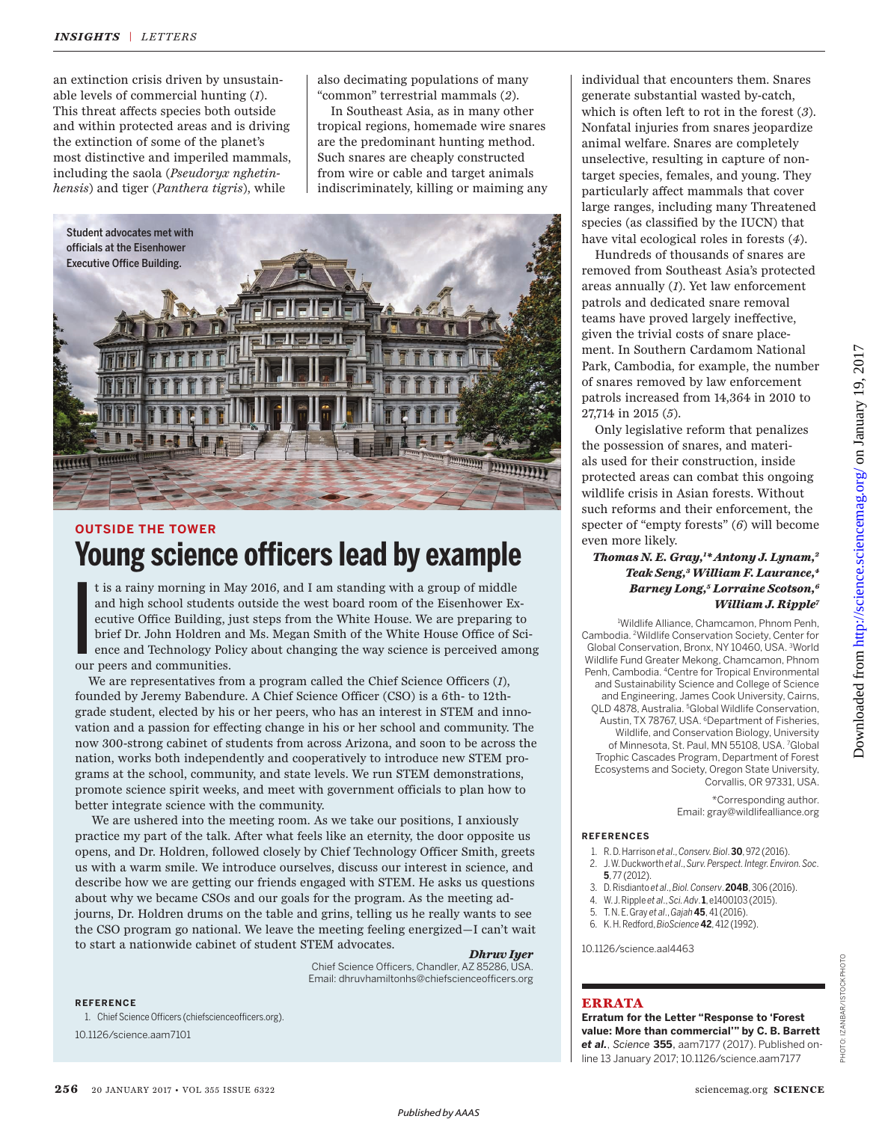an extinction crisis driven by unsustainable levels of commercial hunting (*1*). This threat affects species both outside and within protected areas and is driving the extinction of some of the planet's most distinctive and imperiled mammals, including the saola (*Pseudoryx nghetinhensis*) and tiger (*Panthera tigris*), while

also decimating populations of many "common" terrestrial mammals (*2*).

In Southeast Asia, as in many other tropical regions, homemade wire snares are the predominant hunting method. Such snares are cheaply constructed from wire or cable and target animals indiscriminately, killing or maiming any



### **OUTSIDE THE TOWER Young science officers lead by example**

**I**<br>I and the post of the post of the post of the post of the post of the post of the post of the post of the post of the post of the post of the post of the post of the post of the post of the post of the post of the post t is a rainy morning in May 2016, and I am standing with a group of middle and high school students outside the west board room of the Eisenhower Executive Office Building, just steps from the White House. We are preparing to brief Dr. John Holdren and Ms. Megan Smith of the White House Office of Science and Technology Policy about changing the way science is perceived among our peers and communities.

We are representatives from a program called the Chief Science Officers (*1*), founded by Jeremy Babendure. A Chief Science Officer (CSO) is a 6th- to 12thgrade student, elected by his or her peers, who has an interest in STEM and innovation and a passion for effecting change in his or her school and community. The now 300-strong cabinet of students from across Arizona, and soon to be across the nation, works both independently and cooperatively to introduce new STEM programs at the school, community, and state levels. We run STEM demonstrations, promote science spirit weeks, and meet with government officials to plan how to better integrate science with the community.

 We are ushered into the meeting room. As we take our positions, I anxiously practice my part of the talk. After what feels like an eternity, the door opposite us opens, and Dr. Holdren, followed closely by Chief Technology Officer Smith, greets us with a warm smile. We introduce ourselves, discuss our interest in science, and describe how we are getting our friends engaged with STEM. He asks us questions about why we became CSOs and our goals for the program. As the meeting adjourns, Dr. Holdren drums on the table and grins, telling us he really wants to see the CSO program go national. We leave the meeting feeling energized—I can't wait to start a nationwide cabinet of student STEM advocates.

#### *Dhruv Iyer*

Chief Science Officers, Chandler, AZ 85286, USA. Email: dhruvhamiltonhs@chiefscienceofficers.org

#### **REFERENCE**

 1. Chief Science Officers (chiefscienceofficers.org). 10.1126/science.aam7101

individual that encounters them. Snares generate substantial wasted by-catch, which is often left to rot in the forest (*3*). Nonfatal injuries from snares jeopardize animal welfare. Snares are completely unselective, resulting in capture of nontarget species, females, and young. They particularly affect mammals that cover large ranges, including many Threatened species (as classified by the IUCN) that have vital ecological roles in forests (*4*).

Hundreds of thousands of snares are removed from Southeast Asia's protected areas annually (*1*). Yet law enforcement patrols and dedicated snare removal teams have proved largely ineffective, given the trivial costs of snare placement. In Southern Cardamom National Park, Cambodia, for example, the number of snares removed by law enforcement patrols increased from 14,364 in 2010 to 27,714 in 2015 (*5*).

Only legislative reform that penalizes the possession of snares, and materials used for their construction, inside protected areas can combat this ongoing wildlife crisis in Asian forests. Without such reforms and their enforcement, the specter of "empty forests" (*6*) will become even more likely.

#### *Thomas N. E. Gray,<sup>1</sup> \* Antony J. Lynam,<sup>2</sup> Teak Seng,<sup>3</sup> William F. Laurance,<sup>4</sup> Barney Long,<sup>5</sup> Lorraine Scotson,<sup>6</sup> William J. Ripple<sup>7</sup>*

<sup>1</sup>Wildlife Alliance, Chamcamon, Phnom Penh, Cambodia. <sup>2</sup>Wildlife Conservation Society, Center for Global Conservation, Bronx, NY 10460, USA. <sup>3</sup>World Wildlife Fund Greater Mekong, Chamcamon, Phnom Penh, Cambodia. <sup>4</sup>Centre for Tropical Environmental and Sustainability Science and College of Science and Engineering, James Cook University, Cairns, QLD 4878, Australia. <sup>5</sup>Global Wildlife Conservation, Austin, TX 78767, USA. <sup>6</sup>Department of Fisheries, Wildlife, and Conservation Biology, University of Minnesota, St. Paul, MN 55108, USA. <sup>7</sup>Global Trophic Cascades Program, Department of Forest Ecosystems and Society, Oregon State University, Corvallis, OR 97331, USA.

> \*Corresponding author. Email: gray@wildlifealliance.org

#### **REFERENCES**

- 1. R. D. Harrison *et al*., *Conserv. Biol*. **30**, 972 (2016).
- 2. J. W. Duckworth *et al*., *Surv. Perspect. Integr. Environ. Soc*. **5**, 77 (2012).
- 3. D. Risdianto *et al*., *Biol. Conserv*. **204B**, 306 (2016).
- 4. W. J. Ripple *et al*., *Sci. Adv*. **1**, e1400103 (2015).
- 5. T. N. E. Gray *et al*., *Gajah***45**, 41 (2016).
- 6. K. H. Redford, *BioScience***42**, 412 (1992).

10.1126/science.aal4463

#### **ERRATA**

**Erratum for the Letter "Response to 'Forest value: More than commercial'" by C. B. Barrett**  *et al.*, *Science* **355**, aam7177 (2017). Published online 13 January 2017; 10.1126/science.aam7177

PHOTO: IZANBAR/ISTOCKPHOTO

PHOTO: IZANBAR/ISTOCKPHOTO